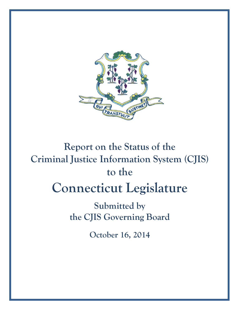

# **Report on the Status of the Criminal Justice Information System (CJIS) to the Connecticut Legislature**

**Submitted by the CJIS Governing Board**

**October 16, 2014**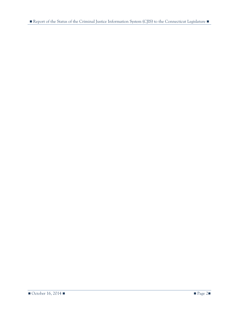Report of the Status of the Criminal Justice Information System (CJIS) to the Connecticut Legislature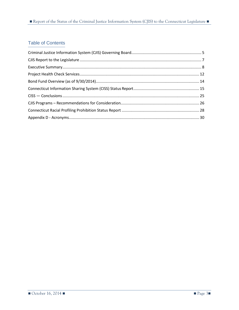# Table of Contents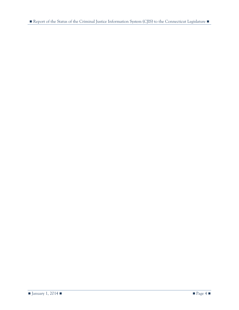Report of the Status of the Criminal Justice Information System (CJIS) to the Connecticut Legislature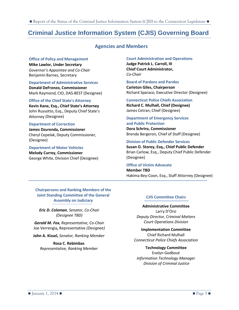# <span id="page-4-0"></span>**Criminal Justice Information System (CJIS) Governing Board**

# **Agencies and Members**

#### **Office of Policy and Management**

**Mike Lawlor, Under Secretary**  *Governor's Appointee and Co-Chair* Benjamin Barnes, Secretary

**Department of Administrative Services Donald DeFronzo, Commissioner** Mark Raymond, CIO, DAS-BEST (Designee)

### **Office of the Chief State's Attorney**

**Kevin Kane, Esq., Chief State's Attorney** John Russotto, Esq., Deputy Chief State's Attorney (Designee)

#### **Department of Correction**

**James Dzurenda, Commissioner** Cheryl Cepelak, Deputy Commissioner, (Designee)

#### **Department of Motor Vehicles**

**Melody Currey, Commissioner**  George White, Division Chief (Designee)

# **Court Administration and Operations**

**Judge Patrick L. Carroll, III Chief Court Administrator,** *Co-Chair*

### **Board of Pardons and Paroles**

**Carleton Giles, Chairperson** Richard Sparaco, Executive Director (Designee)

### **Connecticut Police Chiefs Association Richard C. Mulhall, Chief (Designee)** James Cetran, Chief (Designee)

### **Department of Emergency Services and Public Protection**

**Dora Schriro, Commissioner** Brenda Bergeron, Chief of Staff (Designee)

### **Division of Public Defender Services**

**Susan O. Storey, Esq., Chief Public Defender**  Brian Carlow, Esq., Deputy Chief Public Defender (Designee)

### **Office of Victim Advocate**

**Member TBD** Hakima Bey-Coon, Esq., Staff Attorney (Designee)

**Chairpersons and Ranking Members of the Joint Standing Committee of the General Assembly on Judiciary**

*Eric D. Coleman, Senator, Co-Chair (Designee TBD)*

*Gerald M. Fox, Representative, Co-Chair* Joe Verrengia**,** Representative *(Designee)*

**John A. Kissel,** *Senator, Ranking Member*

**Rosa C. Rebimbas** *Representative, Ranking Member*

### **CJIS Committee Chairs**

**Administrative Committee** Larry D'Orsi *Deputy Director, Criminal Matters Court Operations Division*

**Implementation Committee** Chief Richard Mulhall *Connecticut Police Chiefs Association*

# **Technology Committee**

Evelyn Godbout *Information Technology Manager Division of Criminal Justice*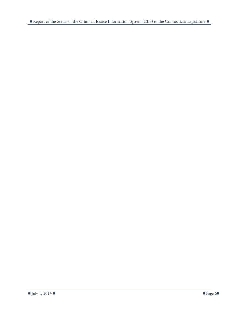Report of the Status of the Criminal Justice Information System (CJIS) to the Connecticut Legislature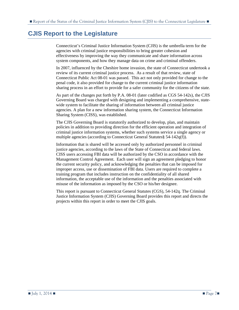# <span id="page-6-0"></span>**CJIS Report to the Legislature**

Connecticut's Criminal Justice Information System (CJIS) is the umbrella term for the agencies with criminal justice responsibilities to bring greater cohesion and effectiveness by improving the way they communicate and share information across system components, and how they manage data on crime and criminal offenders.

In 2007, influenced by the Cheshire home invasion, the state of Connecticut undertook a review of its current criminal justice process. As a result of that review, state of Connecticut Public Act 08-01 was passed. This act not only provided for change to the penal code, it also provided for change to the current criminal justice information sharing process in an effort to provide for a safer community for the citizens of the state.

As part of the changes put forth by P.A. 08-01 (later codified as CGS 54-142s), the CJIS Governing Board was charged with designing and implementing a comprehensive, statewide system to facilitate the sharing of information between all criminal justice agencies. A plan for a new information sharing system, the Connecticut Information Sharing System (CISS), was established.

The CJIS Governing Board is statutorily authorized to develop, plan, and maintain policies in addition to providing direction for the efficient operation and integration of criminal justice information systems, whether such systems service a single agency or multiple agencies (according to Connecticut General Statutes§ 54-142q(f)).

Information that is shared will be accessed only by authorized personnel in criminal justice agencies, according to the laws of the State of Connecticut and federal laws. CISS users accessing FBI data will be authorized by the CSO in accordance with the Management Control Agreement. Each user will sign an agreement pledging to honor the current security policy, and acknowledging the penalties that can be imposed for improper access, use or dissemination of FBI data. Users are required to complete a training program that includes instruction on the confidentiality of all shared information, the acceptable use of the information and the penalties associated with misuse of the information as imposed by the CSO or his/her designee.

This report is pursuant to Connecticut General Statutes (CGS), 54-142q. The Criminal Justice Information System (CJIS) Governing Board provides this report and directs the projects within this report in order to meet the CJIS goals.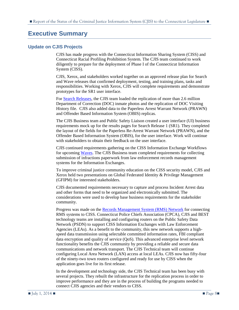# <span id="page-7-0"></span>**Executive Summary**

# **Update on CJIS Projects**

CJIS has made progress with the [Connecticut Information Sharing System \(CISS\)](#page-14-1) and [Connecticut Racial Profiling Prohibition System.](#page-27-1) The CJIS team continued to work diligently to prepare for the deployment of Phase I of the Connecticut Information System (CISS).

CJIS, Xerox, and stakeholders worked together on an approved release plan for Search and Wave releases that confirmed deployment, testing, and training plans, tasks and responsibilities. Working with Xerox, CJIS will complete requirements and demonstrate prototypes for the SR1 user interface.

For [Search Releases,](#page-15-0) the CJIS team loaded the replication of more than 2.6 million Department of Correction (DOC) inmate photos and the replication of DOC Visiting History file. CJIS also added data to the Paperless Arrest Warrant Network (PRAWN) and Offender Based Information System (OBIS) replicas.

The CJIS Business team and Public Safety Liaison created a user interface (UI) business requirements mock up for the results pages for Search Release 1 (SR1). They completed the layout of the fields for the Paperless Re-Arrest Warrant Network (PRAWN), and the Offender Based Information System (OBIS), for the user interface. Work will continue with stakeholders to obtain their feedback on the user interface.

CJIS continued requirements gathering on the CISS Information Exchange Workflows for upcoming [Waves.](#page-17-0) The CJIS Business team completed requirements for collecting submission of infractions paperwork from law enforcement records management systems for the Information Exchanges.

To improve criminal justice community education on the CISS security model, CJIS and Xerox held two presentations on Global Federated Identity & Privilege Management (GFIPM) for interested stakeholders.

CJIS documented requirements necessary to capture and process Incident Arrest data and other forms that need to be organized and electronically submitted. The considerations were used to develop base business requirements for the stakeholder community.

Progress was made on the [Records Management System \(RMS\)](#page-18-0) Network for connecting RMS systems to CISS. Connecticut Police Chiefs Association (CPCA), CJIS and BEST technology teams are installing and configuring routers on the Public Safety Data Network (PSDN) to support CISS Information Exchanges with Law Enforcement Agencies (LEAs). As a benefit to the community, this new network supports a highspeed data transmission using selectable committed information rates, FBI compliant data encryption and quality of service (QoS). This advanced enterprise level network functionality benefits the CJIS community by providing a reliable and secure data communications and network transport. The CJIS Technical team will continue configuring Local Area Network (LAN) access at local LEAs. CJIS now has fifty-four of the ninety-two town routers configured and ready for use by CISS when the application goes live for its first release.

In the development and technology side, the CJIS Technical team has been busy with several projects. They rebuilt the infrastructure for the replication process in order to improve performance and they are in the process of building the programs needed to connect CJIS agencies and their vendors to CISS.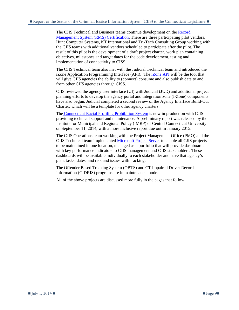The CJIS Technical and Business teams continue development on the **Record** [Management System \(RMS\)](#page-17-1) Certification. There are three participating pilot vendors, Hunt Computer Systems, KT International and Tri-Tech Consulting Group working with the CJIS teams with additional vendors scheduled to participate after the pilot. The result of this pilot is the development of a draft project charter, work plan containing objectives, milestones and target dates for the code development, testing and implementation of connectivity to CISS.

The CJIS Technical team also met with the Judicial Technical team and introduced the iZone Application Programming Interface (API). The [iZone API](#page-18-1) will be the tool that will give CJIS agencies the ability to (connect) consume and also publish data to and from other CJIS agencies through CISS.

CJIS reviewed the agency user interface (UI) with Judicial (JUD) and additional project planning efforts to develop the agency portal and integration zone (I-Zone) components have also begun. Judicial completed a second review of the Agency Interface Build-Out Charter, which will be a template for other agency charters.

The [Connecticut Racial Profiling Prohibition System](#page-27-1) is now in production with CJIS providing technical support and maintenance. A preliminary report was released by the Institute for Municipal and Regional Policy (IMRP) of Central Connecticut University on September 11, 2014, with a more inclusive report due out in January 2015.

The CJIS Operations team working with the Project Management Office (PMO) and the CJIS Technical team implemented [Microsoft Project Server](#page-16-0) to enable all CJIS projects to be maintained in one location, managed as a portfolio that will provide dashboards with key performance indicators to CJIS management and CJIS stakeholders. These dashboards will be available individually to each stakeholder and have that agency's plan, tasks, dates, and risk and issues with tracking.

The Offender Based Tracking System (OBTS) and CT Impaired Driver Records Information (CIDRIS) programs are in maintenance mode.

All of the above projects are discussed more fully in the pages that follow.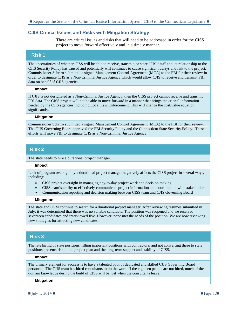# **CJIS Critical Issues and Risks with Mitigation Strategy**

There are critical issues and risks that will need to be addressed in order for the CISS project to move forward effectively and in a timely manner.

### **Risk 1**

The uncertainties of whether CISS will be able to receive, transmit, or store "FBI data" and its relationship to the CJIS Security Policy has caused and potentially will continues to cause significant delays and risk to the project. Commissioner Schriro submitted a signed Management Control Agreement (MCA) to the FBI for their review in order to designate CJIS as a Non-Criminal Justice Agency which would allow CJIS to receive and transmit FBI data on behalf of CJIS agencies.

### **Impact**

If CJIS is not designated as a Non-Criminal Justice Agency, then the CISS project cannot receive and transmit FBI data. The CISS project will not be able to move forward in a manner that brings the critical information needed by the CJIS agencies including Local Law Enforcement. This will change the cost/value equation significantly.

### **Mitigation**

Commissioner Schriro submitted a signed Management Control Agreement (MCA) to the FBI for their review. The CJIS Governing Board approved the FBI Security Policy and the Connecticut State Security Policy. These efforts will move FBI to designate CJIS as a Non-Criminal Justice Agency.

### **Risk 2**

The state needs to hire a durational project manager.

#### **Impact**

Lack of program oversight by a durational project manager negatively affects the CISS project in several ways, including:

- CISS project oversight in managing day-to-day project work and decision making
- CISS team's ability to effectively communicate project information and coordination with stakeholders
- Communication reporting and decision making between CISS team and CJIS Governing Board

### **Mitigation**

The state and OPM continue to search for a durational project manager. After reviewing resumes submitted in July, it was determined that there was no suitable candidate. The position was reopened and we received seventeen candidates and interviewed five. However, none met the needs of the position. We are now reviewing new strategies for attracting new candidates.

# **Risk 3**

The late hiring of state positions, filling important positions with contractors, and not converting these to state positions presents risk to the project plan and the long-term support and stability of CISS.

### **Impact**

The primary element for success is to have a talented pool of dedicated and skilled CJIS Governing Board personnel. The CJIS team has hired consultants to do the work. If the eighteen people are not hired, much of the domain knowledge during the build of CISS will be lost when the consultants leave.

### **Mitigation**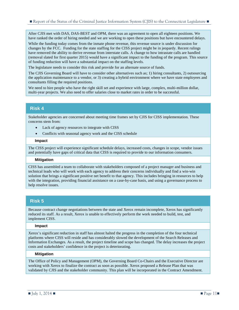After CJIS met with DAS, DAS-BEST and OPM, there was an agreement to open all eighteen positions. We have ranked the order of hiring needed and we are working to open these positions but have encountered delays.

While the funding today comes from the inmate phone revenue, this revenue source is under discussion for changes by the FCC. [Funding for the state staffing for the CISS project might be in jeopardy.](#page-24-1) Recent rulings have removed the ability to derive revenue from interstate calls. A change to how intrastate calls are handled (removal slated for first quarter 2015) would have a significant impact to the funding of the program. This source of funding reduction will have a substantial impact on the staffing levels.

The legislature needs to consider this risk and provide for an alternate source of funds.

The CJIS Governing Board will have to consider other alternatives such as; 1) hiring consultants, 2) outsourcing the application maintenance to a vendor, or 3) creating a hybrid environment where we have state employees and consultants filling the required positions.

We need to hire people who have the right skill set and experience with large, complex, multi-million dollar, multi-year projects. We also need to offer salaries close to market rates in order to be successful.

### **Risk 4**

Stakeholder agencies are concerned about meeting time frames set by CJIS for CISS implementation. These concerns stem from:

- Lack of agency resources to integrate with CISS
- Conflicts with seasonal agency work and the CISS schedule

#### **Impact**

The CISS project will experience significant schedule delays, increased costs, changes in scope, vendor issues and potentially have gaps of critical data that CISS is required to provide to our information consumers.

### **Mitigation**

CISS has assembled a team to collaborate with stakeholders composed of a project manager and business and technical leads who will work with each agency to address their concerns individually and find a win-win solution that brings a significant positive net benefit to that agency. This includes bringing in resources to help with the integration, providing financial assistance on a case-by-case basis, and using a governance process to help resolve issues.

### **Risk 5**

Because contract change negotiations between the state and Xerox remain incomplete, Xerox has significantly reduced its staff. As a result, Xerox is unable to effectively perform the work needed to build, test, and implement CISS.

#### **Impact**

Xerox's significant reduction in staff has almost halted the progress in the completion of the four technical platforms where CISS will reside and has considerably slowed the development of the Search Releases and Information Exchanges. As a result, the project timeline and scope has changed. The delay increases the project costs and stakeholders' confidence in the project is deteriorating.

### **Mitigation**

The Office of Policy and Management (OPM), the Governing Board Co-Chairs and the Executive Director are working with Xerox to finalize the contract as soon as possible. Xerox proposed a Release Plan that was validated by CJIS and the stakeholder community. This plan will be incorporated in the Contract Amendment.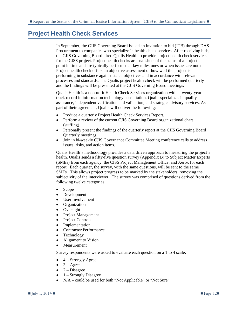# <span id="page-11-0"></span>**Project Health Check Services**

In September, the CJIS Governing Board issued an invitation to bid (ITB) through DAS Procurement to companies who specialize in health check services. After receiving bids, the CJIS Governing Board hired Qualis Health to provide project health check services for the CISS project. Project health checks are snapshots of the status of a project at a point in time and are typically performed at key milestones or when issues are noted. Project health check offers an objective assessment of how well the project is performing in substance against stated objectives and in accordance with relevant processes and standards. The Qualis project health check will be performed quarterly and the findings will be presented at the CJIS Governing Board meetings.

Qualis Health is a nonprofit Health Check Services organization with a twenty-year track record in information technology consultation. Qualis specializes in quality assurance, independent verification and validation, and strategic advisory services. As part of their agreement, Qualis will deliver the following:

- Produce a quarterly Project Health Check Services Report.
- Perform a review of the current CJIS Governing Board organizational chart (staffing).
- Personally present the findings of the quarterly report at the CJIS Governing Board Quarterly meetings.
- Join in bi-weekly CJIS Governance Committee Meeting conference calls to address issues, risks, and action items.

Qualis Health's methodology provides a data driven approach to measuring the project's health. Qualis sends a fifty-five question survey (Appendix B) to Subject Matter Experts (SMEs) from each agency, the CISS Project Management Office, and Xerox for each report. Each quarter, the survey, with the same questions, will be sent to the same SMEs. This allows project progress to be marked by the stakeholders, removing the subjectivity of the interviewer. The survey was comprised of questions derived from the following twelve categories:

- Scope
- Development
- User Involvement
- Organization
- Oversight
- Project Management
- Project Controls
- Implementation
- Contractor Performance
- Technology
- Alignment to Vision
- **Measurement**

Survey respondents were asked to evaluate each question on a 1 to 4 scale:

- 4 Strongly Agree
- $\bullet$  3 Agree
- $\bullet$  2 Disagree
- $\bullet$  1 Strongly Disagree
- N/A could be used for both "Not Applicable" or "Not Sure"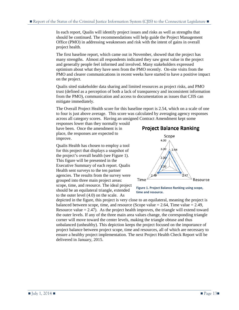In each report, Qualis will identify project issues and risks as well as strengths that should be continued. The recommendations will help guide the Project Management Office (PMO) in addressing weaknesses and risk with the intent of gains in overall project health.

The first baseline report, which came out in November, showed that the project has many strengths. Almost all respondents indicated they saw great value in the project and generally people feel informed and involved. Many stakeholders expressed optimism about what they have seen from the PMO recently. On-site visits from the PMO and clearer communications in recent weeks have started to have a positive impact on the project.

Qualis sited stakeholder data sharing and limited resources as project risks, and PMO trust (defined as a perception of both a lack of transparency and inconsistent information from the PMO), communication and access to documentation as issues that CJIS can mitigate immediately.

The Overall Project Health score for this baseline report is 2.54, which on a scale of one to four is just above average. This score was calculated by averaging agency responses across all category scores. Having an unsigned Contract Amendment kept some

responses lower than they normally would have been. Once the amendment is in place, the responses are expected to improve.

Qualis Health has chosen to employ a tool for this project that displays a snapshot of the project's overall health (see [Figure 1\)](#page-12-0). This figure will be presented in the Executive Summary of each report. Qualis Health sent surveys to the ten partner agencies. The results from the survey were grouped into three main project areas: scope, time, and resource. The ideal project should be an equilateral triangle, extended to the outer level (4.0) on the scale. As



<span id="page-12-0"></span>

depicted in the figure, this project is very close to an equilateral, meaning the project is balanced between scope, time, and resource (Scope value  $= 2.64$ , Time value  $= 2.49$ , Resource value  $= 2.47$ ). As the project health improves, the triangle will extend toward the outer levels. If any of the three main area values change, the corresponding triangle corner will move toward the center levels, making the triangle obtuse and thus unbalanced (unhealthy). This depiction keeps the project focused on the importance of project balance between project scope, time and resources, all of which are necessary to ensure a healthy project implementation. The next Project Health Check Report will be delivered in January, 2015.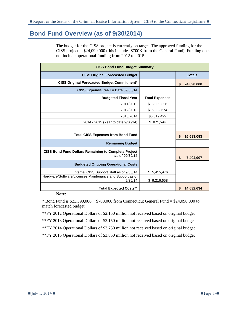# <span id="page-13-0"></span>**Bond Fund Overview (as of 9/30/2014)**

| <b>CISS Bond Fund Budget Summary</b>                                          |                       |                  |  |
|-------------------------------------------------------------------------------|-----------------------|------------------|--|
| <b>CISS Original Forecasted Budget</b>                                        |                       | <b>Totals</b>    |  |
| <b>CISS Original Forecasted Budget Commitment*</b>                            |                       | \$<br>24,090,000 |  |
| CISS Expenditures To Date 09/30/14                                            |                       |                  |  |
| <b>Budgeted Fiscal Year</b>                                                   | <b>Total Expenses</b> |                  |  |
| 2011/2012                                                                     | \$3,909,326           |                  |  |
| 2012/2013                                                                     | \$ 6,382,674          |                  |  |
| 2013/2014                                                                     | \$5,519,499           |                  |  |
| 2014 - 2015 (Year to date 9/30/14)                                            | \$871,594             |                  |  |
|                                                                               |                       |                  |  |
| <b>Total CISS Expenses from Bond Fund</b>                                     |                       | \$<br>16,683,093 |  |
| <b>Remaining Budget</b>                                                       |                       |                  |  |
| <b>CISS Bond Fund Dollars Remaining to Complete Project</b><br>as of 09/30/14 |                       | \$<br>7,404,907  |  |
| <b>Budgeted Ongoing Operational Costs</b>                                     |                       |                  |  |
| Internal CISS Support Staff as of 9/30/14                                     | \$5,415,976           |                  |  |
| Hardware/Software/Licenses Maintenance and Support as of<br>9/30/14           | \$9,216,658           |                  |  |
| <b>Total Expected Costs**</b>                                                 |                       | \$<br>14,632,634 |  |

The budget for the CISS project is currently on target. The approved funding for the CISS project is \$24,090,000 (this includes \$700K from the General Fund). Funding does not include operational funding from 2012 to 2015.

### **Note:**

\* Bond Fund is \$23,390,000 + \$700,000 from Connecticut General Fund = \$24,090,000 to match forecasted budget.

\*\*FY 2012 Operational Dollars of \$2.150 million not received based on original budget \*\*FY 2013 Operational Dollars of \$3.150 million not received based on original budget \*\*FY 2014 Operational Dollars of \$3.750 million not received based on original budget \*\*FY 2015 Operational Dollars of \$3.850 million not received based on original budget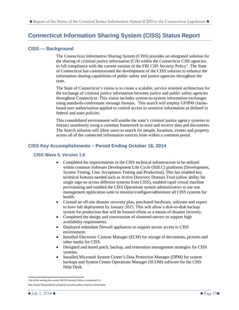# <span id="page-14-0"></span>**Connecticut Information Sharing System (CISS) Status Report**

# **CISS — Background**

<span id="page-14-1"></span>The Connecticut Information Sharing System (CISS) provides an integrated solution for the sharing of criminal justice information (CJI) within the Connecticut CJIS agencies, in full compliance with the current version of the FBI CJIS Security Policy<sup>[1](#page-14-2)</sup>. The State of Connecticut has commissioned the development of the CISS solution to enhance the information sharing capabilities of public safety and justice agencies throughout the state.

The State of Connecticut's vision is to create a scalable, service oriented architecture for the exchange of criminal justice information between justice and public safety agencies throughout Connecticut. This vision includes system-to-system information exchanges using standards-conformant message formats. This search will employ GFIPM claimsbased user authorization applied to control access to sensitive information as defined in federal and state policies.

This consolidated environment will enable the state's criminal justice agency systems to interact seamlessly using a common framework to send and receive data and documents. The Search solution will allow users to search for people, locations, events and property across all of the connected information sources from within a common portal.

# **CISS Key Accomplishments – Period Ending October 16, 2014**

### **CISS Wave 0, Version 1.6**

- Completed the improvements in the CISS technical infrastructure to be utilized within common Software Development Life Cycle (SDLC) platforms (Development, System Testing, User Acceptance Testing and Production). This has enabled key technical features needed such as Active Directory Domain Trust (allow ability for single sign-on across different systems from CISS), enabled rapid virtual machine provisioning and enabled the CISS Operations system administrators to use one management application suite to monitor/configure/administer all CISS systems for health.
- Created an off-site disaster recovery plan, purchased hardware, software and expect to have full deployment by January 2015. This will allow a disk-to-disk backup system for production that will be housed offsite as a means of disaster recovery.
- Completed the design and construction of clustered servers to support high availability requirements.
- Deployed redundant firewall appliances to support secure access to CISS environment.
- Installed Electronic Content Manager (ECM) for storage of documents, pictures and other media for CISS.
- Designed and tested patch, backup, and restoration management strategies for CISS systems.
- Installed Microsoft System Center's Data Protection Manager (DPM) for system backups and System Center Operations Manager (SCOM) software for the CISS Help Desk.

<span id="page-14-2"></span> <sup>1</sup> As of this writing the current FBI CJIS Security Policy is numbered 5.3:

<http://www.fbi.gov/about-us/cjis/cjis-security-policy-resource-center/view>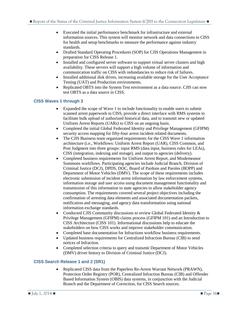- Executed the initial performance benchmark for infrastructure and external information sources. This system will monitor network and data connections to CISS for health and setup benchmarks to measure the performance against industry standards.
- Drafted Standard Operating Procedures (SOP) for CJIS Operations Management in preparation for CISS Release 1.
- Installed and configured server software to support virtual server clusters and high availability. These servers will support a high volume of information and communication traffic on CISS with redundancies to reduce risk of failures.
- Installed additional disk drives, increasing available storage for the User Acceptance Testing (UAT) and Production environments.
- Replicated OBTS into the System Test environment as a data source. CJIS can now test OBTS as a data source in CISS.

# **CISS Waves 1 through 3**

- Expanded the scope of Wave 1 to include functionality to enable users to submit scanned arrest paperwork to CISS, provide a direct interface with RMS systems to facilitate bulk upload of authorized historical data, and to transmit new or updated Uniform Arrest Reports (UARs) to CISS on an ongoing basis.
- Completed the initial Global Federated Identity and Privilege Management (GFIPM) security access mapping for fifty-four arrest incident related documents.
- The CJIS Business team organized requirements for the CISS Wave 1 information architecture (i.e., Workflows: Uniform Arrest Report (UAR), CISS Common, and Post Judgment into three groups: input RMS (data input, business rules for LEAs), CISS (integration, indexing and storage), and output to agencies (delivery).
- Completed business requirements for Uniform Arrest Report, and Misdemeanor Summons workflows. Participating agencies include Judicial Branch, Division of Criminal Justice (DCJ), DPDS, DOC, Board of Pardons and Paroles (BOPP) and Department of Motor Vehicles (DMV). The scope of these requirements includes electronic submission of incident arrest information by law enforcement systems, information storage and user access using document management functionality and transmission of this information to state agencies to allow stakeholder agency consumption. The requirements covered several project objectives including the confirmation of arresting data elements and associated documentation packets, notification and messaging, and agency data transformation using national information exchange standards.
- Conducted CJIS Community discussions to review Global Federated Identity & Privilege Management (GFIPM) claims process (GFIPM 101) and an Introduction to CISS Architecture (CISS 101). Informational discussions help to educate the stakeholders on how CISS works and improve stakeholder communication.
- Completed base documentation for Infractions workflow business requirements.
- Updated business requirements for Centralized Infraction Bureau (CIB) to send notices of Infraction.
- <span id="page-15-0"></span>• Completed selection criteria to query and transmit Department of Motor Vehicles (DMV) driver history to Division of Criminal Justice (DCJ).

# **CISS Search Release 1 and 2 (SR1)**

• Replicated CISS data from the Paperless Re-Arrest Warrant Network (PRAWN), Protection Order Registry (POR), Centralized Infraction Bureau (CIB) and Offender Based Information System (OBIS) data systems, in conjunction with the Judicial Branch and the Department of Correction, for CISS Search sources.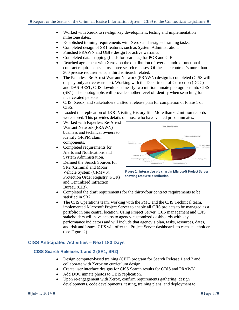- Worked with Xerox to re-align key development, testing and implementation milestone dates.
- Established training requirements with Xerox and assigned training tasks.
- Completed design of SR1 features, such as System Administration.
- Finished PRAWN and OBIS design for active warrants.
- Completed data mapping (fields for searches) for POR and CIB.
- Reached agreement with Xerox on the distribution of over a hundred functional contract requirements across three search releases. Of the state contract's more than 300 precise requirements, a third is Search related.
- The Paperless Re-Arrest Warrant Network (PRAWN) design is completed (CISS will display only active warrants). Working with the Department of Correction (DOC) and DAS-BEST, CJIS downloaded nearly two million inmate photographs into CISS (SR1). The photographs will provide another level of identity when searching for incarcerated persons.
- CJIS, Xerox, and stakeholders crafted a release plan for completion of Phase 1 of CISS.
- Loaded the replication of DOC Visiting History file. More than 6.2 million records were stored. This provides details on those who have visited prison inmates.
- Worked with Paperless Re-Arrest Warrant Network (PRAWN) business and technical owners to identify GFIPM claim components.
- Completed requirements for Alerts and Notifications and System Administration.
- Defined the Search Sources for SR2 (Criminal and Motor Vehicle System (CRMVS), Protection Order Registry (POR) and Centralized Infraction Bureau (CIB).



<span id="page-16-1"></span><span id="page-16-0"></span>**Figure 2. Interactive pie chart in Microsoft Project Server showing resource distribution.**

- Completed the draft requirements for the thirty-four contract requirements to be satisfied in SR2.
- The CJIS Operations team, working with the PMO and the CJIS Technical team, implemented Microsoft Project Server to enable all CJIS projects to be managed as a portfolio in one central location. Using Project Server, CJIS management and CJIS stakeholders will have access to agency-customized dashboards with key performance indicators and will include that agency's plan, tasks, resources, dates, and risk and issues. CJIS will offer the Project Server dashboards to each stakeholder (see [Figure 2\)](#page-16-1).

# **CISS Anticipated Activities – Next 180 Days**

# **CISS Search Releases 1 and 2 (SR1, SR2)**

- Design computer-based training (CBT) program for Search Release 1 and 2 and collaborate with Xerox on curriculum design.
- Create user interface designs for CISS Search results for OBIS and PRAWN.
- Add DOC inmate photos to OBIS replication.
- Upon re-engagement with Xerox, confirm requirements gathering, design developments, code developments, testing, training plans, and deployment to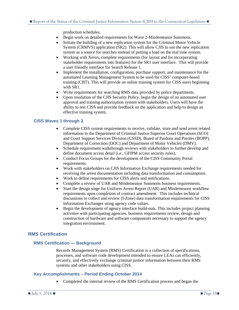production schedules.

- Begin work on detailed requirements for Wave 2-Misdemeanor Summons.
- Initiate the building of a new replication system for the Criminal Motor Vehicle System (CRMVS) application (SR2). This will allow CJIS to use the new replication system as a source for searches instead of putting a load on the real time system.
- Working with Xerox, complete requirements (for layout and for incorporating stakeholder requirements into features) for the SR1 user interface. This will provide a user friendly interface for Search Release 1.
- Implement the installation, configuration, purchase support, and maintenance for the automated Learning Management System to be used for CISS' computer-based training (CBT). This will provide an online training system for CISS users beginning with SR1.
- Write requirements for searching RMS data provided by police departments.
- Upon resolution of the CJIS Security Policy, begin the design of an automated user approval and training authorization system with stakeholders. Users will have the ability to test CISS and provide feedback on the application and help to design an effective training system.

# **CISS Waves 1 through 3**

- <span id="page-17-0"></span>• Complete CISS system requirements to receive, validate, store and send arrest related information to the Department of Criminal Justice Superior Court Operations (SCO) and Court Support Services Division (CSSD), Board of Pardons and Paroles (BOPP), Department of Correction (DOC) and Department of Motor Vehicles (DMV).
- Schedule requirement walkthrough reviews with stakeholders to further develop and define document access detail (i.e., GFIPM access security rules).
- Conduct Focus Groups for the development of the CISS Community Portal requirements.
- Work with stakeholders on CJIS Information Exchange requirements needed for receiving the arrest documentation including data transformation and consumption.
- Work to define requirements for CISS alerts and notifications.
- Complete a review of UAR and Misdemeanor Summons business requirements.
- Start the design stage for Uniform Arrest Report (UAR) and Misdemeanor workflow requirements upon completion of contract amendment. This includes technical discussions to collect and review (I-Zone) data transformation requirements for CISS Information Exchanges using agency code values.
- <span id="page-17-1"></span>• Begin the development of agency interface build-outs. This includes project planning activities with participating agencies, business requirements review, design and construction of hardware and software components necessary to support the agency integration environment.

# **RMS Certification**

# **RMS Certification — Background**

Records Management System (RMS) Certification is a collection of specifications, processes, and software code development intended to ensure LEAs can efficiently, securely, and effectively exchange criminal justice information between their RMS systems and other stakeholders using CISS.

### **Key Accomplishments – Period Ending October 2014**

• Completed the internal review of the RMS Certification process and began the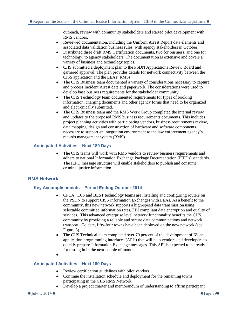outreach, review with community stakeholders and started pilot development with RMS vendors.

- Reviewed documentation, including the Uniform Arrest Report data elements and associated data validation business rules, with agency stakeholders in October.
- Distributed three draft RMS Certification documents, two for business, and one for technology, to agency stakeholders. The documentation is extensive and covers a variety of business and technology topics.
- CJIS submitted a deployment plan to the PSDN Applications Review Board and garnered approval. The plan provides details for network connectivity between the CISS application and the LEAs' RMSs.
- The CJIS Business team documented a variety of considerations necessary to capture and process Incident Arrest data and paperwork. The considerations were used to develop base business requirements for the stakeholder community.
- The CJIS Technology team documented requirements for types of booking information, charging documents and other agency forms that need to be organized and electronically submitted.
- The CJIS Business team and the RMS Work Group completed the internal review and updates to the proposed RMS business requirements documents. This includes project planning activities with participating vendors, business requirements review, data mapping, design and construction of hardware and software components necessary to support an integration environment to the law enforcement agency's records management system (RMS).

### **Anticipated Activities – Next 180 Days**

<span id="page-18-0"></span>The CJIS teams will work with RMS vendors to review business requirements and adhere to national Information Exchange Package Documentation (IEPDs) standards. The IEPD message structure will enable stakeholders to publish and consume criminal justice information.

# **RMS Network**

# **Key Accomplishments – Period Ending October 2014**

- CPCA, CJIS and BEST technology teams are installing and configuring routers on the PSDN to support CISS Information Exchanges with LEAs. As a benefit to the community, this new network supports a high-speed data transmission using selectable committed information rates, FBI compliant data encryption and quality of services. This advanced enterprise level network functionality benefits the CJIS community by providing a reliable and secure data communications and network transport. To date, fifty-four towns have been deployed on the new network (see [Figure 3\)](#page-19-0).
- <span id="page-18-1"></span>• The CJIS Technical team completed over 70 percent of the development of IZone application programming interfaces (APIs) that will help vendors and developers to quickly prepare Information Exchange messages. This API is expected to be ready for testing in in the next couple of months.
- •

# **Anticipated Activities – Next 180 Days**

- Review certification guidelines with pilot vendors.
- Continue the installation schedule and deployment for the remaining towns participating in the CJIS RMS Network.
- Develop a project charter and memorandum of understanding to affirm participant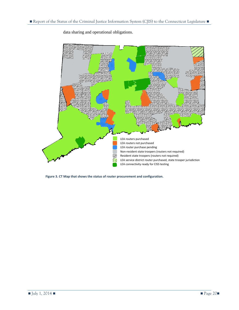

data sharing and operational obligations.

<span id="page-19-0"></span>**Figure 3. CT Map that shows the status of router procurement and configuration.**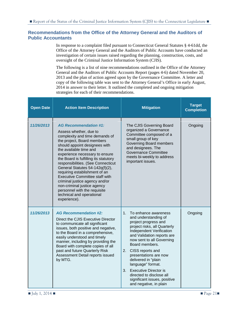# **Recommendations from the Office of the Attorney General and the Auditors of Public Accountants**

In response to a complaint filed pursuant to Connecticut General Statutes § 4-61dd, the Office of the Attorney General and the Auditors of Public Accounts have conducted an investigation of certain issues raised regarding the planning, construction, costs, and oversight of the Criminal Justice Information System (CJIS).

The following is a list of nine recommendations outlined in the Office of the Attorney General and the Auditors of Public Accounts Report (pages 4-6) dated November 20, 2013 and the plan of action agreed upon by the Governance Committee. A letter and copy of the following table was sent to the Attorney General's Office in early August, 2014 in answer to their letter. It outlined the completed and ongoing mitigation strategies for each of their recommendations.

| <b>Open Date</b> | <b>Action Item Description</b>                                                                                                                                                                                                                                                                                                                                                                                                                                                                                                                         | <b>Mitigation</b>                                                                                                                                                                                                                                                                                                                                                                                                                                   | <b>Target</b><br><b>Completion</b> |
|------------------|--------------------------------------------------------------------------------------------------------------------------------------------------------------------------------------------------------------------------------------------------------------------------------------------------------------------------------------------------------------------------------------------------------------------------------------------------------------------------------------------------------------------------------------------------------|-----------------------------------------------------------------------------------------------------------------------------------------------------------------------------------------------------------------------------------------------------------------------------------------------------------------------------------------------------------------------------------------------------------------------------------------------------|------------------------------------|
| 11/26/2013       | <b>AG Recommendation #1:</b><br>Assess whether, due to<br>complexity and time demands of<br>the project, Board members<br>should appoint designees with<br>the available time and<br>experience necessary to ensure<br>the Board is fulfilling its statutory<br>responsibilities. (See Connecticut<br>General Statutes 54-142q(f)(2),<br>requiring establishment of an<br>Executive Committee staff with<br>criminal justice agency and/or<br>non-criminal justice agency<br>personnel with the requisite<br>technical and operational<br>experience). | The CJIS Governing Board<br>organized a Governance<br>Committee composed of a<br>small group of key<br>Governing Board members<br>and designees. The<br>Governance Committee<br>meets bi-weekly to address<br>important issues.                                                                                                                                                                                                                     | Ongoing                            |
| 11/26/2013       | <b>AG Recommendation #2:</b><br>Direct the CJIS Executive Director<br>to communicate all significant<br>issues, both positive and negative,<br>to the Board in a comprehensive,<br>easily understood and timely<br>manner, including by providing the<br>Board with complete copies of all<br>past and future Quarterly Risk<br>Assessment Detail reports issued<br>by MTG.                                                                                                                                                                            | $1_{-}$<br>To enhance awareness<br>and understanding of<br>project progress and<br>project risks, all Quarterly<br>Independent Verification<br>and Validation reports are<br>now sent to all Governing<br>Board members.<br>2.<br>CISS reports and<br>presentations are now<br>delivered in "plain<br>language" format.<br>3.<br><b>Executive Director is</b><br>directed to disclose all<br>significant issues, positive<br>and negative, in plain | Ongoing                            |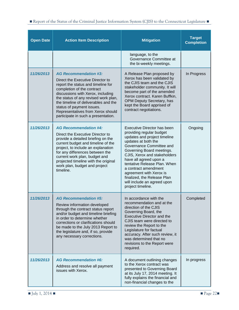| <b>Open Date</b> | <b>Action Item Description</b>                                                                                                                                                                                                                                                                                                                                     | <b>Mitigation</b>                                                                                                                                                                                                                                                                                                                                                                                       | <b>Target</b><br><b>Completion</b> |
|------------------|--------------------------------------------------------------------------------------------------------------------------------------------------------------------------------------------------------------------------------------------------------------------------------------------------------------------------------------------------------------------|---------------------------------------------------------------------------------------------------------------------------------------------------------------------------------------------------------------------------------------------------------------------------------------------------------------------------------------------------------------------------------------------------------|------------------------------------|
|                  |                                                                                                                                                                                                                                                                                                                                                                    | language, to the<br>Governance Committee at<br>the bi-weekly meetings.                                                                                                                                                                                                                                                                                                                                  |                                    |
| 11/26/2013       | <b>AG Recommendation #3:</b><br>Direct the Executive Director to<br>report the status and timeline for<br>completion of the contract<br>discussions with Xerox, including<br>the status of any revised work plan,<br>the timeline of deliverables and the<br>status of payment issues.<br>Representatives from Xerox should<br>participate in such a presentation. | A Release Plan proposed by<br>Xerox has been validated by<br>the CJIS team and the CJIS<br>stakeholder community. It will<br>become part of the amended<br>Xerox contract. Karen Buffkin,<br>OPM Deputy Secretary, has<br>kept the Board apprised of<br>contract negotiations.                                                                                                                          | In Progress                        |
| 11/26/2013       | <b>AG Recommendation #4:</b><br>Direct the Executive Director to<br>provide a detailed briefing on the<br>current budget and timeline of the<br>project, to include an explanation<br>for any differences between the<br>current work plan, budget and<br>projected timeline with the original<br>work plan, budget and project<br>timeline.                       | Executive Director has been<br>providing regular budget<br>updates and project timeline<br>updates at both the<br>Governance Committee and<br>Governing Board meetings.<br>CJIS, Xerox and stakeholders<br>have all agreed upon a<br>tentative Release Plan. When<br>a contract amendment<br>agreement with Xerox is<br>finalized, the Release Plan<br>will include an agreed upon<br>project timeline. | Ongoing                            |
| 11/26/2013       | <b>AG Recommendation #5:</b><br>Review information developed<br>through the contract status report<br>and/or budget and timeline briefing<br>in order to determine whether<br>corrections or clarifications should<br>be made to the July 2013 Report to<br>the legislature and, if so, provide<br>any necessary corrections.                                      | In accordance with the<br>recommendation and at the<br>direction of the CJIS<br>Governing Board, the<br><b>Executive Director and the</b><br>CJIS team were directed to<br>review the Report to the<br>Legislature for factual<br>accuracy. After such review, it<br>was determined that no<br>revisions to the Report were<br>required.                                                                | Completed                          |
| 11/26/2013       | <b>AG Recommendation #6:</b><br>Address and resolve all payment<br>issues with Xerox.                                                                                                                                                                                                                                                                              | A document outlining changes<br>to the Xerox contract was<br>presented to Governing Board<br>at its July 17, 2014 meeting. It<br>fully explains the financial and<br>non-financial changes to the                                                                                                                                                                                                       | In progress                        |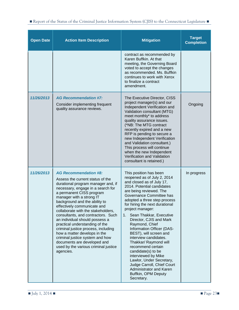# Report of the Status of the Criminal Justice Information System (CJIS) to the Connecticut Legislature

| <b>Open Date</b> | <b>Action Item Description</b>                                                                                                                                                                                                                                                                                                                                                                                                                                                                                                                                                                                    | <b>Mitigation</b>                                                                                                                                                                                                                                                                                                                                                                                                                                                                                                                                                                                                                                | <b>Target</b><br><b>Completion</b> |
|------------------|-------------------------------------------------------------------------------------------------------------------------------------------------------------------------------------------------------------------------------------------------------------------------------------------------------------------------------------------------------------------------------------------------------------------------------------------------------------------------------------------------------------------------------------------------------------------------------------------------------------------|--------------------------------------------------------------------------------------------------------------------------------------------------------------------------------------------------------------------------------------------------------------------------------------------------------------------------------------------------------------------------------------------------------------------------------------------------------------------------------------------------------------------------------------------------------------------------------------------------------------------------------------------------|------------------------------------|
|                  |                                                                                                                                                                                                                                                                                                                                                                                                                                                                                                                                                                                                                   | contract as recommended by<br>Karen Buffkin. At that<br>meeting, the Governing Board<br>voted to accept the changes<br>as recommended. Ms. Buffkin<br>continues to work with Xerox<br>to finalize a contract<br>amendment.                                                                                                                                                                                                                                                                                                                                                                                                                       |                                    |
| 11/26/2013       | <b>AG Recommendation #7:</b><br>Consider implementing frequent<br>quality assurance reviews.                                                                                                                                                                                                                                                                                                                                                                                                                                                                                                                      | The Executive Director, CISS<br>project manager(s) and our<br>Independent Verification and<br>Validation consultant (MTG)<br>meet monthly* to address<br>quality assurance issues.<br>(*NB: The MTG contract<br>recently expired and a new<br>RFP is pending to secure a<br>new Independent Verification<br>and Validation consultant.)<br>This process will continue<br>when the new Independent<br>Verification and Validation<br>consultant is retained.)                                                                                                                                                                                     | Ongoing                            |
| 11/26/2013       | <b>AG Recommendation #8:</b><br>Assess the current status of the<br>durational program manager and, if<br>necessary, engage in a search for<br>a permanent CISS program<br>manager with a strong IT<br>background and the ability to<br>effectively communicate and<br>collaborate with the stakeholders,<br>consultants, and contractors. Such<br>an individual should possess a<br>practical understanding of the<br>criminal justice process, including<br>how a matter develops in the<br>criminal justice system and how<br>documents are developed and<br>used by the various criminal justice<br>agencies. | This position has been<br>reopened as of July 2, 2014<br>and closed as of July 17,<br>2014. Potential candidates<br>are being reviewed. The<br>Governance Committee has<br>adopted a three step process<br>for hiring the next durational<br>project manager:<br>1.<br>Sean Thakkar, Executive<br>Director, CJIS and Mark<br>Raymond, Chief<br>Information Officer (DAS-<br>BEST), will screen and<br>interview candidates.<br>Thakkar/ Raymond will<br>recommend certain<br>candidate(s) to be<br>interviewed by Mike<br>Lawlor, Under Secretary,<br>Judge Carroll, Chief Court<br>Administrator and Karen<br>Buffkin, OPM Deputy<br>Secretary. | In progress                        |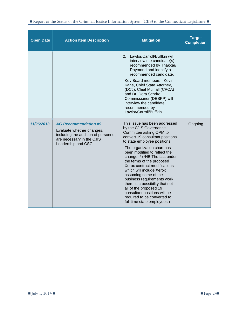Report of the Status of the Criminal Justice Information System (CJIS) to the Connecticut Legislature

| <b>Open Date</b> | <b>Action Item Description</b>                                                                                                                        | <b>Mitigation</b>                                                                                                                                                                                                                                                                                                                                                                                                                                                                                                                                               | <b>Target</b><br><b>Completion</b> |
|------------------|-------------------------------------------------------------------------------------------------------------------------------------------------------|-----------------------------------------------------------------------------------------------------------------------------------------------------------------------------------------------------------------------------------------------------------------------------------------------------------------------------------------------------------------------------------------------------------------------------------------------------------------------------------------------------------------------------------------------------------------|------------------------------------|
|                  |                                                                                                                                                       | Lawlor/Carroll/Buffkin will<br>2.<br>interview the candidate(s)<br>recommended by Thakkar/<br>Raymond and identify a<br>recommended candidate.<br>Key Board members - Kevin<br>Kane, Chief State Attorney,<br>(DCJ), Chief Mulhall (CPCA)<br>and Dr. Dora Schriro,<br>Commissioner (DESPP) will<br>interview the candidate<br>recommended by<br>Lawlor/Carroll/Buffkin.                                                                                                                                                                                         |                                    |
| 11/26/2013       | <b>AG Recommendation #9:</b><br>Evaluate whether changes,<br>including the addition of personnel,<br>are necessary in the CJIS<br>Leadership and CSG. | This issue has been addressed<br>by the CJIS Governance<br>Committee asking OPM to<br>convert 19 consultant positions<br>to state employee positions.<br>The organization chart has<br>been modified to reflect the<br>change. * (*NB The fact under<br>the terms of the proposed<br>Xerox contract modifications<br>which will include Xerox<br>assuming some of the<br>business requirements work,<br>there is a possibility that not<br>all of the proposed 19<br>consultant positions will be<br>required to be converted to<br>full time state employees.) | Ongoing                            |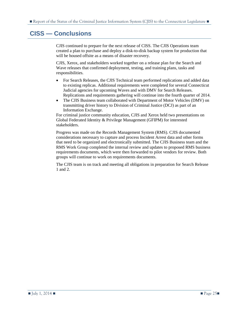# <span id="page-24-1"></span><span id="page-24-0"></span>**CISS — Conclusions**

CJIS continued to prepare for the next release of CISS. The CJIS Operations team created a plan to purchase and deploy a disk-to-disk backup system for production that will be housed offsite as a means of disaster recovery.

CJIS, Xerox, and stakeholders worked together on a release plan for the Search and Wave releases that confirmed deployment, testing, and training plans, tasks and responsibilities.

- For Search Releases, the CJIS Technical team performed replications and added data to existing replicas. Additional requirements were completed for several Connecticut Judicial agencies for upcoming Waves and with DMV for Search Releases. Replications and requirements gathering will continue into the fourth quarter of 2014.
- The CJIS Business team collaborated with Department of Motor Vehicles (DMV) on transmitting driver history to Division of Criminal Justice (DCJ) as part of an Information Exchange.

For criminal justice community education, CJIS and Xerox held two presentations on Global Federated Identity & Privilege Management (GFIPM) for interested stakeholders.

Progress was made on the Records Management System (RMS). CJIS documented considerations necessary to capture and process Incident Arrest data and other forms that need to be organized and electronically submitted. The CJIS Business team and the RMS Work Group completed the internal review and updates to proposed RMS business requirements documents, which were then forwarded to pilot vendors for review. Both groups will continue to work on requirements documents.

The CJIS team is on track and meeting all obligations in preparation for Search Release 1 and 2.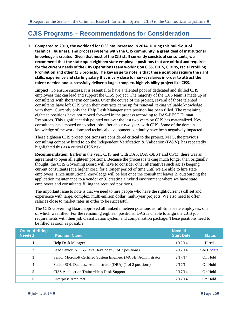# <span id="page-25-0"></span>**CJIS Programs – Recommendations for Consideration**

**1. Compared to 2013, the workload for CISS has increased in 2014. During this build-out of technical, business, and process systems with the CJIS community, a great deal of institutional knowledge is created. Given that most of the CJIS staff currently consists of consultants, we recommend that the state open eighteen state employee positions that are critical and required for the current needs of the CJIS Operations team working on CISS, OBTS, CIDRIS, racial Profiling Prohibition and other CJIS projects. The key issue to note is that these positions require the right skills, experience and starting salary that is very close to market salaries in order to attract the talent needed and successfully deliver a large, complex, high-visibility project like CISS.** 

**Impact:** To ensure success, it is essential to have a talented pool of dedicated and skilled CJIS employees that can lead and support the CISS project. The majority of the CJIS team is made up of consultants with short term contracts. Over the course of the project, several of those talented consultants have left CJIS when their contracts came up for renewal, taking valuable knowledge with them. Currently only the Help Desk Manager state position has been filled. The remaining eighteen positions have not moved forward in the process according to DAS-BEST Human Resources. This significant risk pointed out over the last two years by CJIS has materialized. Key consultants have moved on to other jobs after about two years with CJIS. Some of the domain knowledge of the work done and technical development continuity have been negatively impacted.

These eighteen CJIS project positions are considered critical to the project. MTG, the previous consulting company hired to do the Independent Verification & Validation (IV&V), has repeatedly highlighted this as a critical CISS risk.

**Recommendation**: Earlier in the year, CJIS met with DAS, DAS-BEST and OPM, there was an agreement to open all eighteen positions. Because the process is taking much longer than originally thought, the CJIS Governing Board will have to consider other alternatives such as; 1) keeping current consultants (at a higher cost) for a longer period of time until we are able to hire state employees, since institutional knowledge will be lost once the consultant leaves 2) outsourcing the application maintenance to a vendor or 3) creating a hybrid environment where we have state employees and consultants filling the required positions.

The important issue to note is that we need to hire people who have the right/current skill set and experience with large, complex, multi-million dollar, multi-year projects. We also need to offer salaries close to market rates in order to be successful.

The CJIS Governing Board approved all ranked nineteen positions as full-time state employees, one of which was filled. For the remaining eighteen positions, DAS is unable to align the CJIS job requirements with their job classification system and compensation package. These positions need to be filled as soon as possible.

| <b>Order of Hiring</b><br><b>Needed</b> | <b>Position Name</b>                                            | <b>Needed</b><br><b>Start Date</b> | <b>Status</b> |
|-----------------------------------------|-----------------------------------------------------------------|------------------------------------|---------------|
|                                         | Help Desk Manager                                               | 1/12/14                            | Hired         |
| 2                                       | Lead Senior .NET & Java Developer (1 of 2 positions)            | 2/17/14                            | See Update    |
| 3                                       | Senior Microsoft Certified System Engineer (MCSE) Administrator | 2/17/14                            | On Hold       |
| 4                                       | Senior SQL Database Administrator (DBA) (1 of 2 positions)      | 2/17/14                            | On Hold       |
| 5                                       | <b>CISS</b> Application Trainer/Help Desk Support               | 2/17/14                            | On Hold       |
| 6                                       | <b>Enterprise Architect</b>                                     | 2/17/14                            | On Hold       |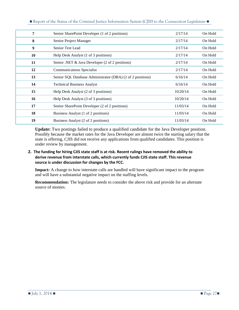| 7                | Senior SharePoint Developer (1 of 2 positions)             | 2/17/14  | On Hold |
|------------------|------------------------------------------------------------|----------|---------|
| 8                | Senior Project Manager                                     | 2/17/14  | On Hold |
| $\boldsymbol{9}$ | Senior Test Lead                                           | 2/17/14  | On Hold |
| 10               | Help Desk Analyst (1 of 3 positions)                       | 2/17/14  | On Hold |
| 11               | Senior .NET & Java Developer (2 of 2 positions)            | 2/17/14  | On Hold |
| 12               | <b>Communications Specialist</b>                           | 2/17/14  | On Hold |
| 13               | Senior SQL Database Administrator (DBA) (2 of 2 positions) | 6/16/14  | On Hold |
| 14               | <b>Technical Business Analyst</b>                          | 6/16/14  | On Hold |
| 15               | Help Desk Analyst (2 of 3 positions)                       | 10/20/14 | On Hold |
| 16               | Help Desk Analyst (3 of 3 positions)                       | 10/20/14 | On Hold |
| 17               | Senior SharePoint Developer (2 of 2 positions)             | 11/03/14 | On Hold |
| 18               | Business Analyst (1 of 2 positions)                        | 11/03/14 | On Hold |
| 19               | Business Analyst (2 of 2 positions)                        | 11/03/14 | On Hold |

**Update:** Two postings failed to produce a qualified candidate for the Java Developer position. Possibly because the market rates for the Java Developer are almost twice the starting salary that the state is offering, CJIS did not receive any applications from qualified candidates. This position is under review by management.

# **2. The funding for hiring CJIS state staff is at risk. Recent rulings have removed the ability to derive revenue from interstate calls, which currently funds CJIS state staff. This revenue source is under discussion for changes by the FCC.**

**Impact:** A change to how interstate calls are handled will have significant impact to the program and will have a substantial negative impact on the staffing levels.

**Recommendation:** The legislature needs to consider the above risk and provide for an alternate source of monies.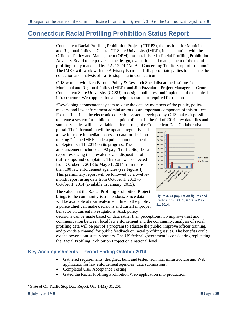# <span id="page-27-0"></span>**Connecticut Racial Profiling Prohibition Status Report**

Connecticut Racial Profiling Prohibition Project (CTRP3), the Institute for Municipal and Regional Policy at Central CT State University (IMRP), in consultation with the Office of Policy and Management (OPM), has established a Racial Profiling Prohibition Advisory Board to help oversee the design, evaluation, and management of the racial profiling study mandated by P.A. 12-74 "An Act Concerning Traffic Stop Information." The IMRP will work with the Advisory Board and all appropriate parties to enhance the collection and analysis of traffic stop data in Connecticut.

CJIS worked with Ken Barone, Policy & Research Specialist at the Institute for Municipal and Regional Policy (IMRP), and Jim Fazzalaro, Project Manager, at Central Connecticut State University (CCSU) to design, build, test and implement the technical infrastructure, Web application and help desk support required for this project.

"Developing a transparent system to view the data by members of the public, policy makers, and law enforcement administrators is an important component of this project. For the first time, the electronic collection system developed by CJIS makes it possible to create a system for public consumption of data. In the fall of 2014, raw data files and summary tables will be available online through the [Connecticut Data Collaborative](http://ctdata.org/)

portal. The information will be updated regularly and allow for more immediate access to data for decision making." <sup>[2](#page-27-3)</sup> The IMRP made a public announcement on September 11, 2014 on its progress. The announcement included a 492 page Traffic Stop Data report reviewing the prevalence and disposition of traffic stops and complaints. This data was collected from October 1, 2013 to May 31, 2014 from more than 100 law enforcement agencies (see [Figure 4\)](#page-27-2). This preliminary report will be followed by a twelvemonth report using data from October 1, 2013 to October 1, 2014 (available in January, 2015).

The value that the Racial Profiling Prohibition Project brings to the community is tremendous. Since data will be available at near real-time online to the public, a police chief can make decisions and curtail improper behavior on current investigations. And, policy

<span id="page-27-1"></span>

<span id="page-27-2"></span>**Figure 4. CT population figures and traffic stops, Oct. 1, 2013 to May 31, 2014.**

decisions can be made based on data rather than perceptions. To improve trust and communication between local law enforcement and the community, analysis of racial profiling data will be part of a program to educate the public, improve officer training, and provide a channel for public feedback on racial profiling issues. The benefits could extend beyond our state's borders. The US federal government is considering replicating the Racial Profiling Prohibition Project on a national level.

# **Key Accomplishments – Period Ending October 2014**

- Gathered requirements, designed, built and tested technical infrastructure and Web application for law enforcement agencies' data submissions.
- Completed User Acceptance Testing.
- Gated the Racial Profiling Prohibition Web application into production.

<span id="page-27-3"></span><sup>&</sup>lt;sup>2</sup> State of CT Traffic Stop Data Report, Oct. 1-May 31, 2014.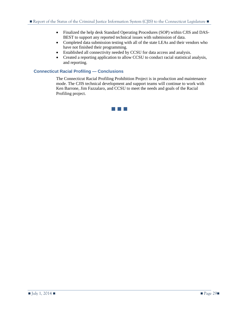- Finalized the help desk Standard Operating Procedures (SOP) within CJIS and DAS-BEST to support any reported technical issues with submission of data.
- Completed data submission testing with all of the state LEAs and their vendors who have not finished their programming.
- Established all connectivity needed by CCSU for data access and analysis.
- Created a reporting application to allow CCSU to conduct racial statistical analysis, and reporting.

# **Connecticut Racial Profiling — Conclusions**

The Connecticut Racial Profiling Prohibition Project is in production and maintenance mode. The CJIS technical development and support teams will continue to work with Ken Barrone, Jim Fazzalaro, and CCSU to meet the needs and goals of the Racial Profiling project.